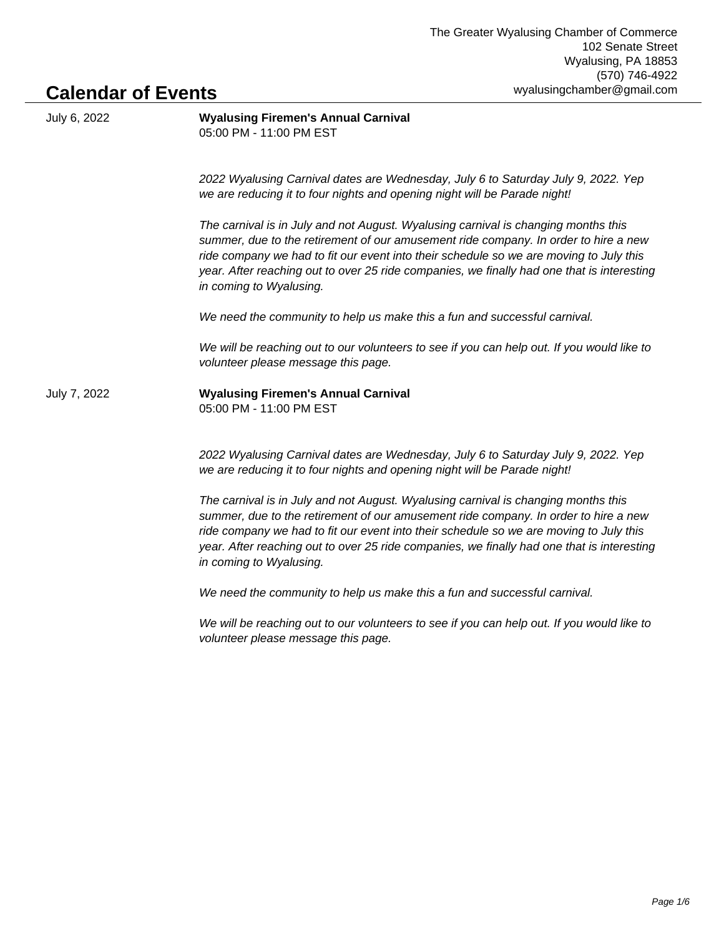## **Calendar of Events**

| July 6, 2022 | <b>Wyalusing Firemen's Annual Carnival</b><br>05:00 PM - 11:00 PM EST                                                                                                                                                                                                                                                                                                                        |
|--------------|----------------------------------------------------------------------------------------------------------------------------------------------------------------------------------------------------------------------------------------------------------------------------------------------------------------------------------------------------------------------------------------------|
|              | 2022 Wyalusing Carnival dates are Wednesday, July 6 to Saturday July 9, 2022. Yep<br>we are reducing it to four nights and opening night will be Parade night!                                                                                                                                                                                                                               |
|              | The carnival is in July and not August. Wyalusing carnival is changing months this<br>summer, due to the retirement of our amusement ride company. In order to hire a new<br>ride company we had to fit our event into their schedule so we are moving to July this<br>year. After reaching out to over 25 ride companies, we finally had one that is interesting<br>in coming to Wyalusing. |
|              | We need the community to help us make this a fun and successful carnival.                                                                                                                                                                                                                                                                                                                    |
|              | We will be reaching out to our volunteers to see if you can help out. If you would like to<br>volunteer please message this page.                                                                                                                                                                                                                                                            |
| July 7, 2022 | <b>Wyalusing Firemen's Annual Carnival</b><br>05:00 PM - 11:00 PM EST                                                                                                                                                                                                                                                                                                                        |
|              | 2022 Wyalusing Carnival dates are Wednesday, July 6 to Saturday July 9, 2022. Yep<br>we are reducing it to four nights and opening night will be Parade night!                                                                                                                                                                                                                               |
|              | The carnival is in July and not August. Wyalusing carnival is changing months this<br>summer, due to the retirement of our amusement ride company. In order to hire a new<br>ride company we had to fit our event into their schedule so we are moving to July this<br>year. After reaching out to over 25 ride companies, we finally had one that is interesting<br>in coming to Wyalusing. |
|              | We need the community to help us make this a fun and successful carnival.                                                                                                                                                                                                                                                                                                                    |
|              | We will be reaching out to our volunteers to see if you can help out. If you would like to                                                                                                                                                                                                                                                                                                   |

volunteer please message this page.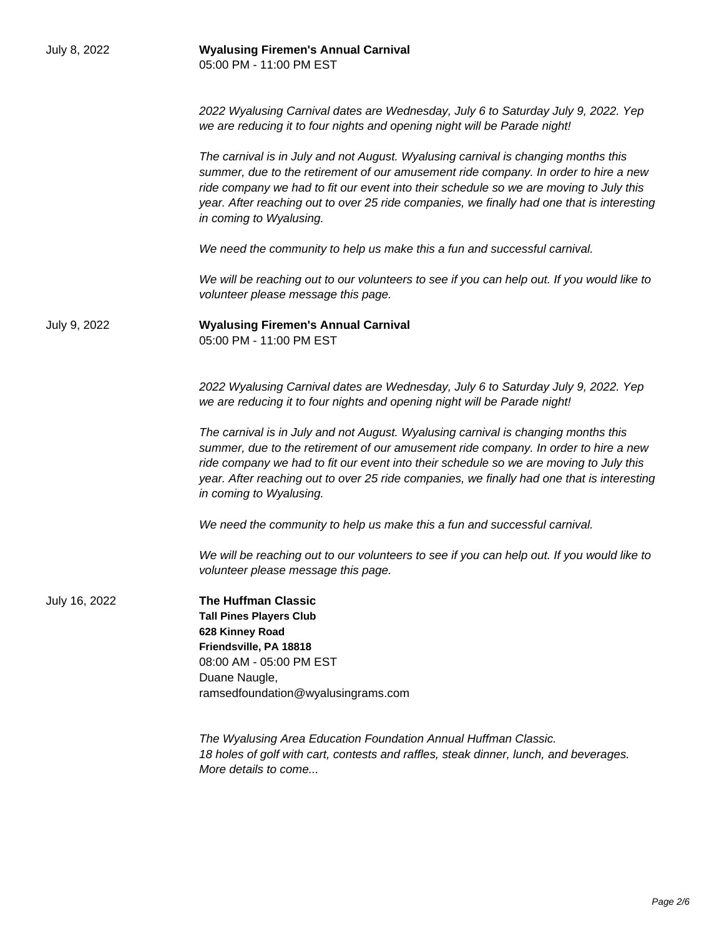| July 8, 2022  | <b>Wyalusing Firemen's Annual Carnival</b><br>05:00 PM - 11:00 PM EST                                                                                                                                                                                                                                                                                                                        |
|---------------|----------------------------------------------------------------------------------------------------------------------------------------------------------------------------------------------------------------------------------------------------------------------------------------------------------------------------------------------------------------------------------------------|
|               | 2022 Wyalusing Carnival dates are Wednesday, July 6 to Saturday July 9, 2022. Yep<br>we are reducing it to four nights and opening night will be Parade night!                                                                                                                                                                                                                               |
|               | The carnival is in July and not August. Wyalusing carnival is changing months this<br>summer, due to the retirement of our amusement ride company. In order to hire a new<br>ride company we had to fit our event into their schedule so we are moving to July this<br>year. After reaching out to over 25 ride companies, we finally had one that is interesting<br>in coming to Wyalusing. |
|               | We need the community to help us make this a fun and successful carnival.                                                                                                                                                                                                                                                                                                                    |
|               | We will be reaching out to our volunteers to see if you can help out. If you would like to<br>volunteer please message this page.                                                                                                                                                                                                                                                            |
| July 9, 2022  | <b>Wyalusing Firemen's Annual Carnival</b><br>05:00 PM - 11:00 PM EST                                                                                                                                                                                                                                                                                                                        |
|               | 2022 Wyalusing Carnival dates are Wednesday, July 6 to Saturday July 9, 2022. Yep<br>we are reducing it to four nights and opening night will be Parade night!                                                                                                                                                                                                                               |
|               | The carnival is in July and not August. Wyalusing carnival is changing months this<br>summer, due to the retirement of our amusement ride company. In order to hire a new<br>ride company we had to fit our event into their schedule so we are moving to July this<br>year. After reaching out to over 25 ride companies, we finally had one that is interesting<br>in coming to Wyalusing. |
|               | We need the community to help us make this a fun and successful carnival.                                                                                                                                                                                                                                                                                                                    |
|               | We will be reaching out to our volunteers to see if you can help out. If you would like to<br>volunteer please message this page.                                                                                                                                                                                                                                                            |
| July 16, 2022 | <b>The Huffman Classic</b><br><b>Tall Pines Players Club</b><br>628 Kinney Road<br>Friendsville, PA 18818<br>08:00 AM - 05:00 PM EST<br>Duane Naugle,<br>ramsedfoundation@wyalusingrams.com                                                                                                                                                                                                  |
|               | The Wyalusing Area Education Foundation Annual Huffman Classic.<br>18 holes of golf with cart, contests and raffles, steak dinner, lunch, and beverages.<br>More details to come                                                                                                                                                                                                             |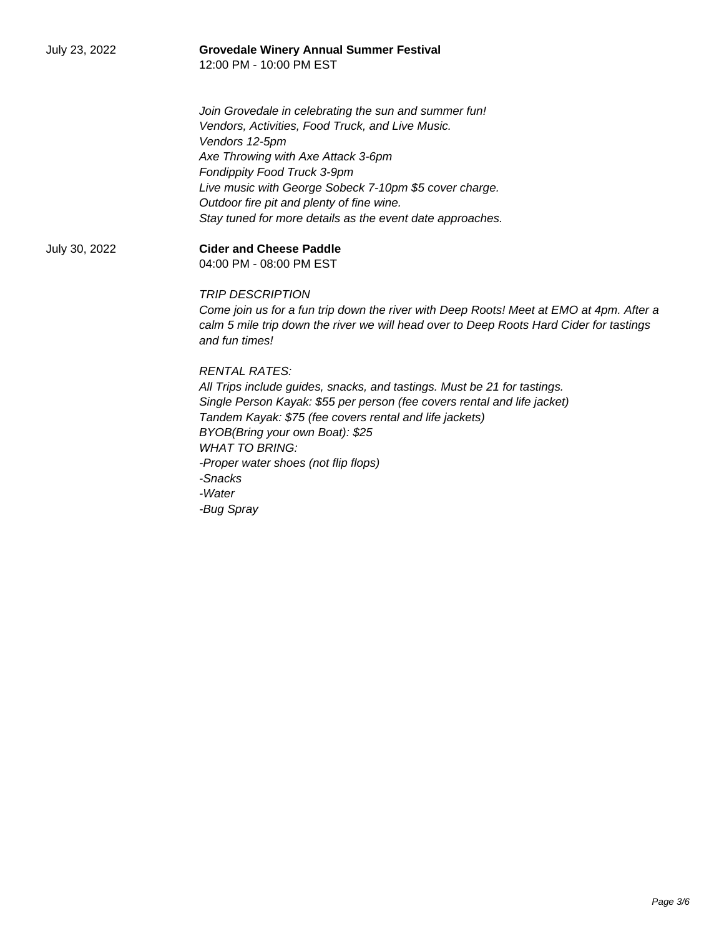| <b>Grovedale Winery Annual Summer Festival</b><br>12:00 PM - 10:00 PM EST                                 |
|-----------------------------------------------------------------------------------------------------------|
| Join Grovedale in celebrating the sun and summer fun!                                                     |
| Vendors, Activities, Food Truck, and Live Music.                                                          |
| Vendors 12-5pm                                                                                            |
| Axe Throwing with Axe Attack 3-6pm                                                                        |
| Fondippity Food Truck 3-9pm                                                                               |
| Live music with George Sobeck 7-10pm \$5 cover charge.                                                    |
| Outdoor fire pit and plenty of fine wine.                                                                 |
| Stay tuned for more details as the event date approaches.                                                 |
| <b>Cider and Cheese Paddle</b>                                                                            |
| 04:00 PM - 08:00 PM EST                                                                                   |
| <b>TRIP DESCRIPTION</b>                                                                                   |
| Come join us for a fun trip down the river with Deep Roots! Meet at EMO at 4pm. After a                   |
| calm 5 mile trip down the river we will head over to Deep Roots Hard Cider for tastings<br>and fun times! |
| <b>RENTAL RATES:</b>                                                                                      |
| All Trips include guides, snacks, and tastings. Must be 21 for tastings.                                  |
| Single Person Kayak: \$55 per person (fee covers rental and life jacket)                                  |
| Tandem Kayak: \$75 (fee covers rental and life jackets)                                                   |
| BYOB(Bring your own Boat): \$25                                                                           |
| <b>WHAT TO BRING:</b>                                                                                     |
| -Proper water shoes (not flip flops)                                                                      |
| -Snacks                                                                                                   |
| -Water                                                                                                    |
| -Bug Spray                                                                                                |
|                                                                                                           |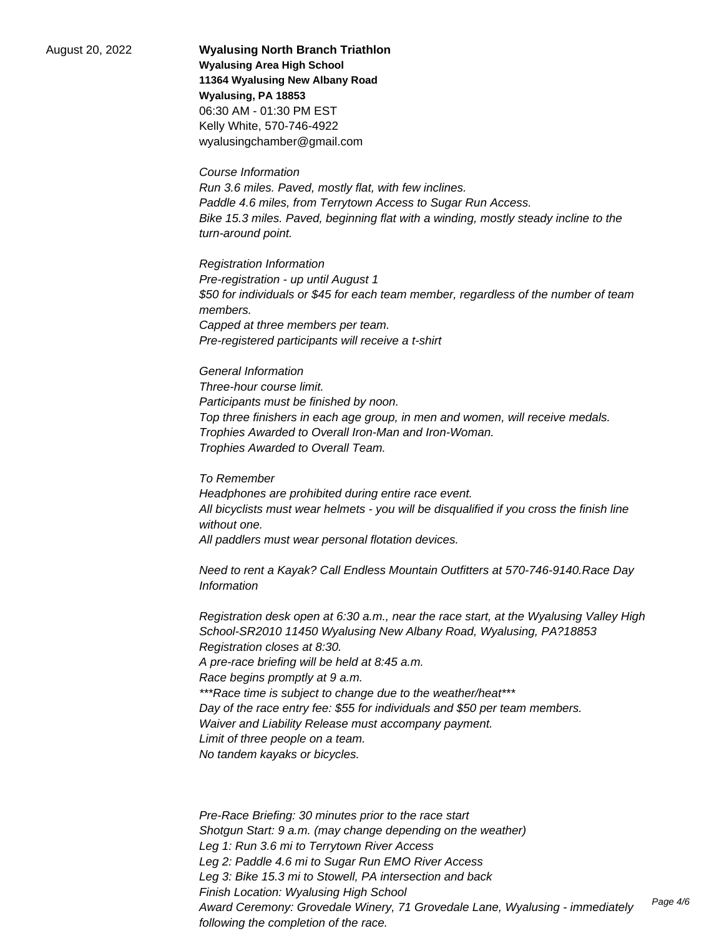August 20, 2022 **Wyalusing North Branch Triathlon Wyalusing Area High School 11364 Wyalusing New Albany Road Wyalusing, PA 18853** 06:30 AM - 01:30 PM EST Kelly White, 570-746-4922 wyalusingchamber@gmail.com

> Course Information Run 3.6 miles. Paved, mostly flat, with few inclines. Paddle 4.6 miles, from Terrytown Access to Sugar Run Access. Bike 15.3 miles. Paved, beginning flat with a winding, mostly steady incline to the turn-around point.

Registration Information Pre-registration - up until August 1 \$50 for individuals or \$45 for each team member, regardless of the number of team members. Capped at three members per team. Pre-registered participants will receive a t-shirt

General Information Three-hour course limit. Participants must be finished by noon. Top three finishers in each age group, in men and women, will receive medals. Trophies Awarded to Overall Iron-Man and Iron-Woman. Trophies Awarded to Overall Team.

To Remember Headphones are prohibited during entire race event. All bicyclists must wear helmets - you will be disqualified if you cross the finish line without one. All paddlers must wear personal flotation devices.

Need to rent a Kayak? Call Endless Mountain Outfitters at 570-746-9140.Race Day Information

Registration desk open at 6:30 a.m., near the race start, at the Wyalusing Valley High School-SR2010 11450 Wyalusing New Albany Road, Wyalusing, PA?18853 Registration closes at 8:30. A pre-race briefing will be held at 8:45 a.m. Race begins promptly at 9 a.m. \*\*\*Race time is subject to change due to the weather/heat\*\*\* Day of the race entry fee: \$55 for individuals and \$50 per team members. Waiver and Liability Release must accompany payment. Limit of three people on a team. No tandem kayaks or bicycles.

Pre-Race Briefing: 30 minutes prior to the race start Shotgun Start: 9 a.m. (may change depending on the weather) Leg 1: Run 3.6 mi to Terrytown River Access Leg 2: Paddle 4.6 mi to Sugar Run EMO River Access Leg 3: Bike 15.3 mi to Stowell, PA intersection and back Finish Location: Wyalusing High School Award Ceremony: Grovedale Winery, 71 Grovedale Lane, Wyalusing - immediately following the completion of the race. Page 4/6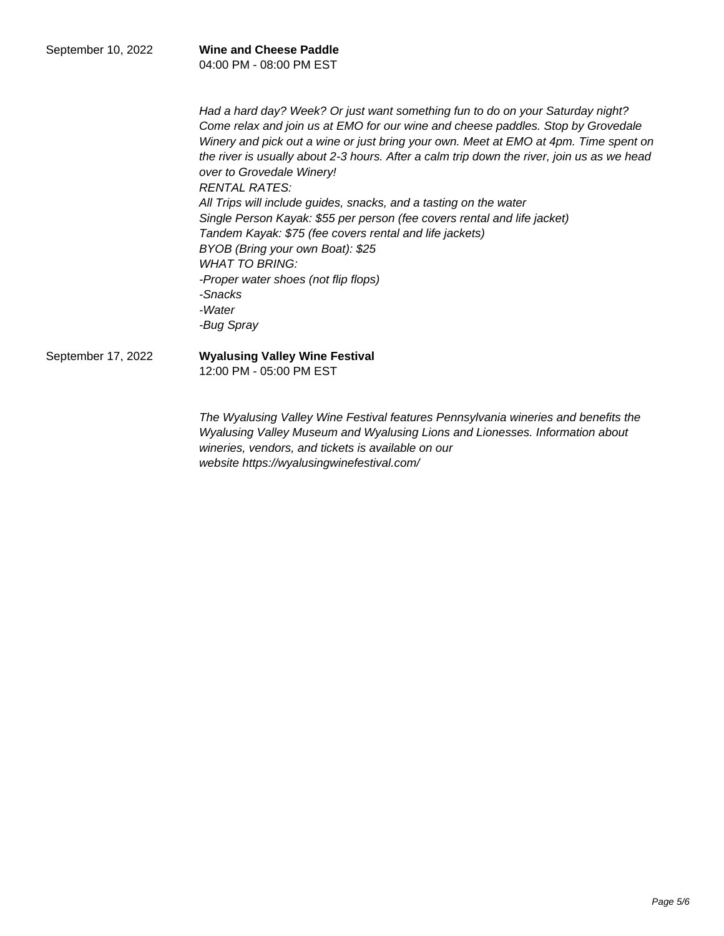| September 10, 2022 | <b>Wine and Cheese Paddle</b> |
|--------------------|-------------------------------|
|                    | 04:00 PM - 08:00 PM EST       |

Had a hard day? Week? Or just want something fun to do on your Saturday night? Come relax and join us at EMO for our wine and cheese paddles. Stop by Grovedale Winery and pick out a wine or just bring your own. Meet at EMO at 4pm. Time spent on the river is usually about 2-3 hours. After a calm trip down the river, join us as we head over to Grovedale Winery! RENTAL RATES: All Trips will include guides, snacks, and a tasting on the water Single Person Kayak: \$55 per person (fee covers rental and life jacket) Tandem Kayak: \$75 (fee covers rental and life jackets) BYOB (Bring your own Boat): \$25 WHAT TO BRING: -Proper water shoes (not flip flops) -Snacks -Water -Bug Spray

September 17, 2022 **Wyalusing Valley Wine Festival**

12:00 PM - 05:00 PM EST

The Wyalusing Valley Wine Festival features Pennsylvania wineries and benefits the Wyalusing Valley Museum and Wyalusing Lions and Lionesses. Information about wineries, vendors, and tickets is available on our website https://wyalusingwinefestival.com/